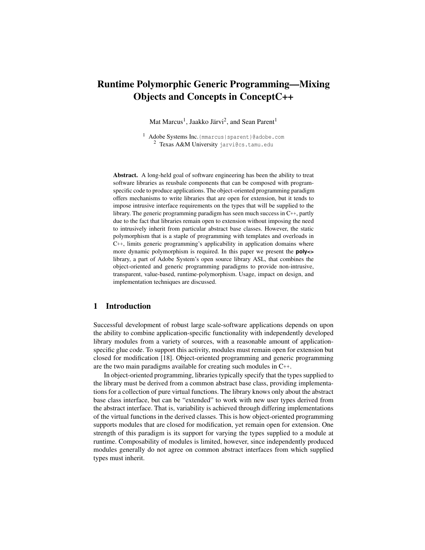# Runtime Polymorphic Generic Programming—Mixing Objects and Concepts in ConceptC++

Mat Marcus<sup>1</sup>, Jaakko Järvi<sup>2</sup>, and Sean Parent<sup>1</sup>

<sup>1</sup> Adobe Systems Inc.{mmarcus|sparent}@adobe.com <sup>2</sup> Texas A&M University jarvi@cs.tamu.edu

Abstract. A long-held goal of software engineering has been the ability to treat software libraries as reusbale components that can be composed with programspecific code to produce applications. The object-oriented programming paradigm offers mechanisms to write libraries that are open for extension, but it tends to impose intrusive interface requirements on the types that will be supplied to the library. The generic programming paradigm has seen much success in C++, partly due to the fact that libraries remain open to extension without imposing the need to intrusively inherit from particular abstract base classes. However, the static polymorphism that is a staple of programming with templates and overloads in C++, limits generic programming's applicability in application domains where more dynamic polymorphism is required. In this paper we present the **poly<>** library, a part of Adobe System's open source library ASL, that combines the object-oriented and generic programming paradigms to provide non-intrusive, transparent, value-based, runtime-polymorphism. Usage, impact on design, and implementation techniques are discussed.

## 1 Introduction

Successful development of robust large scale-software applications depends on upon the ability to combine application-specific functionality with independently developed library modules from a variety of sources, with a reasonable amount of applicationspecific glue code. To support this activity, modules must remain open for extension but closed for modification [18]. Object-oriented programming and generic programming are the two main paradigms available for creating such modules in C++.

In object-oriented programming, libraries typically specify that the types supplied to the library must be derived from a common abstract base class, providing implementations for a collection of pure virtual functions. The library knows only about the abstract base class interface, but can be "extended" to work with new user types derived from the abstract interface. That is, variability is achieved through differing implementations of the virtual functions in the derived classes. This is how object-oriented programming supports modules that are closed for modification, yet remain open for extension. One strength of this paradigm is its support for varying the types supplied to a module at runtime. Composability of modules is limited, however, since independently produced modules generally do not agree on common abstract interfaces from which supplied types must inherit.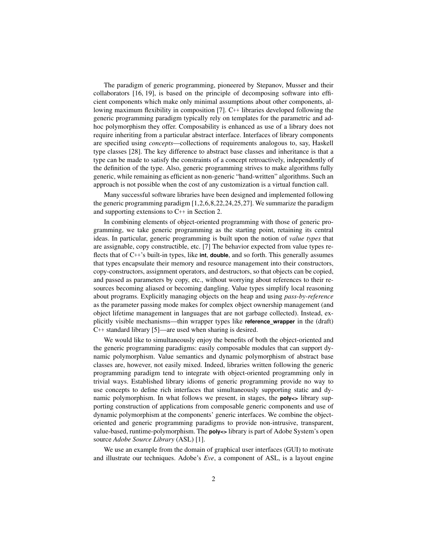The paradigm of generic programming, pioneered by Stepanov, Musser and their collaborators [16, 19], is based on the principle of decomposing software into efficient components which make only minimal assumptions about other components, allowing maximum flexibility in composition [7]. C++ libraries developed following the generic programming paradigm typically rely on templates for the parametric and adhoc polymorphism they offer. Composability is enhanced as use of a library does not require inheriting from a particular abstract interface. Interfaces of library components are specified using *concepts*—collections of requirements analogous to, say, Haskell type classes [28]. The key difference to abstract base classes and inheritance is that a type can be made to satisfy the constraints of a concept retroactively, independently of the definition of the type. Also, generic programming strives to make algorithms fully generic, while remaining as efficient as non-generic "hand-written" algorithms. Such an approach is not possible when the cost of any customization is a virtual function call.

Many successful software libraries have been designed and implemented following the generic programming paradigm [1,2,6,8,22,24,25,27]. We summarize the paradigm and supporting extensions to C++ in Section 2.

In combining elements of object-oriented programming with those of generic programming, we take generic programming as the starting point, retaining its central ideas. In particular, generic programming is built upon the notion of *value types* that are assignable, copy constructible, etc. [7] The behavior expected from value types reflects that of C++'s built-in types, like **int**, **double**, and so forth. This generally assumes that types encapsulate their memory and resource management into their constructors, copy-constructors, assignment operators, and destructors, so that objects can be copied, and passed as parameters by copy, etc., without worrying about references to their resources becoming aliased or becoming dangling. Value types simplify local reasoning about programs. Explicitly managing objects on the heap and using *pass-by-reference* as the parameter passing mode makes for complex object ownership management (and object lifetime management in languages that are not garbage collected). Instead, explicitly visible mechanisms—thin wrapper types like **reference\_wrapper** in the (draft) C++ standard library [5]—are used when sharing is desired.

We would like to simultaneously enjoy the benefits of both the object-oriented and the generic programming paradigms: easily composable modules that can support dynamic polymorphism. Value semantics and dynamic polymorphism of abstract base classes are, however, not easily mixed. Indeed, libraries written following the generic programming paradigm tend to integrate with object-oriented programming only in trivial ways. Established library idioms of generic programming provide no way to use concepts to define rich interfaces that simultaneously supporting static and dynamic polymorphism. In what follows we present, in stages, the **poly**  $\leq$  library supporting construction of applications from composable generic components and use of dynamic polymorphism at the components' generic interfaces. We combine the objectoriented and generic programming paradigms to provide non-intrusive, transparent, value-based, runtime-polymorphism. The **poly**  $\leq$  library is part of Adobe System's open source *Adobe Source Library* (ASL) [1].

We use an example from the domain of graphical user interfaces (GUI) to motivate and illustrate our techniques. Adobe's *Eve*, a component of ASL, is a layout engine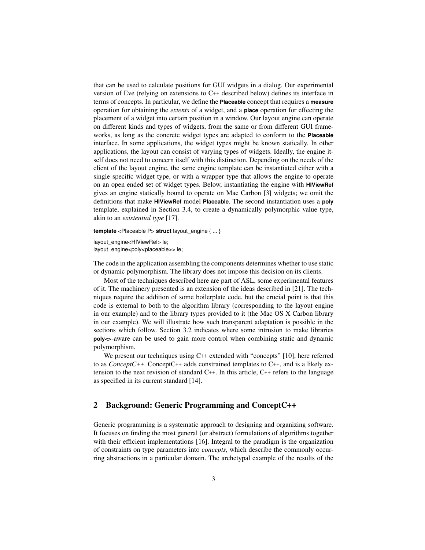that can be used to calculate positions for GUI widgets in a dialog. Our experimental version of Eve (relying on extensions to C++ described below) defines its interface in terms of concepts. In particular, we define the **Placeable** concept that requires a **measure** operation for obtaining the *extents* of a widget, and a **place** operation for effecting the placement of a widget into certain position in a window. Our layout engine can operate on different kinds and types of widgets, from the same or from different GUI frameworks, as long as the concrete widget types are adapted to conform to the **Placeable** interface. In some applications, the widget types might be known statically. In other applications, the layout can consist of varying types of widgets. Ideally, the engine itself does not need to concern itself with this distinction. Depending on the needs of the client of the layout engine, the same engine template can be instantiated either with a single specific widget type, or with a wrapper type that allows the engine to operate on an open ended set of widget types. Below, instantiating the engine with **HIViewRef** gives an engine statically bound to operate on Mac Carbon [3] widgets; we omit the definitions that make **HIViewRef** model **Placeable**. The second instantiation uses a **poly** template, explained in Section 3.4, to create a dynamically polymorphic value type, akin to an *existential type* [17].

**template** <Placeable P> **struct** layout engine { ... }

layout\_engine<HIViewRef> le; layout engine<poly<placeable>> le;

The code in the application assembling the components determines whether to use static or dynamic polymorphism. The library does not impose this decision on its clients.

Most of the techniques described here are part of ASL, some experimental features of it. The machinery presented is an extension of the ideas described in [21]. The techniques require the addition of some boilerplate code, but the crucial point is that this code is external to both to the algorithm library (corresponding to the layout engine in our example) and to the library types provided to it (the Mac OS X Carbon library in our example). We will illustrate how such transparent adaptation is possible in the sections which follow. Section 3.2 indicates where some intrusion to make libraries **poly<>**-aware can be used to gain more control when combining static and dynamic polymorphism.

We present our techniques using C++ extended with "concepts" [10], here referred to as *ConceptC++*. ConceptC++ adds constrained templates to C++, and is a likely extension to the next revision of standard  $C_{++}$ . In this article,  $C_{++}$  refers to the language as specified in its current standard [14].

# 2 Background: Generic Programming and ConceptC**++**

Generic programming is a systematic approach to designing and organizing software. It focuses on finding the most general (or abstract) formulations of algorithms together with their efficient implementations [16]. Integral to the paradigm is the organization of constraints on type parameters into *concepts*, which describe the commonly occurring abstractions in a particular domain. The archetypal example of the results of the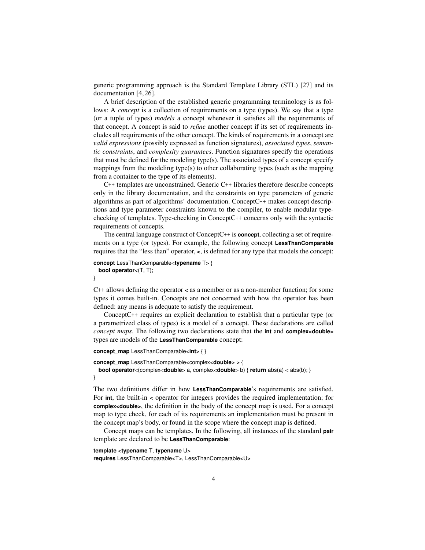generic programming approach is the Standard Template Library (STL) [27] and its documentation [4, 26].

A brief description of the established generic programming terminology is as follows: A *concept* is a collection of requirements on a type (types). We say that a type (or a tuple of types) *models* a concept whenever it satisfies all the requirements of that concept. A concept is said to *refine* another concept if its set of requirements includes all requirements of the other concept. The kinds of requirements in a concept are *valid expressions* (possibly expressed as function signatures), *associated types*, *semantic constraints*, and *complexity guarantees*. Function signatures specify the operations that must be defined for the modeling type(s). The associated types of a concept specify mappings from the modeling type(s) to other collaborating types (such as the mapping from a container to the type of its elements).

 $C_{++}$  templates are unconstrained. Generic  $C_{++}$  libraries therefore describe concepts only in the library documentation, and the constraints on type parameters of generic algorithms as part of algorithms' documentation. ConceptC++ makes concept descriptions and type parameter constraints known to the compiler, to enable modular typechecking of templates. Type-checking in ConceptC++ concerns only with the syntactic requirements of concepts.

The central language construct of ConceptC++ is **concept**, collecting a set of requirements on a type (or types). For example, the following concept **LessThanComparable** requires that the "less than" operator, **<**, is defined for any type that models the concept:

```
concept LessThanComparable<typename T> {
 bool operator<(T, T);
```
}

C++ allows defining the operator **<** as a member or as a non-member function; for some types it comes built-in. Concepts are not concerned with how the operator has been defined: any means is adequate to satisfy the requirement.

ConceptC++ requires an explicit declaration to establish that a particular type (or a parametrized class of types) is a model of a concept. These declarations are called *concept maps*. The following two declarations state that the **int** and **complex<double>** types are models of the **LessThanComparable** concept:

```
concept_map LessThanComparable<int> { }
```

```
concept_map LessThanComparable<complex<double> > {
 bool operator<(complex<double> a, complex<double> b) { return abs(a) < abs(b); }
}
```
The two definitions differ in how **LessThanComparable**'s requirements are satisfied. For **int**, the built-in **<** operator for integers provides the required implementation; for **complex<double>**, the definition in the body of the concept map is used. For a concept map to type check, for each of its requirements an implementation must be present in the concept map's body, or found in the scope where the concept map is defined.

Concept maps can be templates. In the following, all instances of the standard **pair** template are declared to be **LessThanComparable**:

#### **template** <**typename** T, **typename** U>

**requires** LessThanComparable<T>, LessThanComparable<U>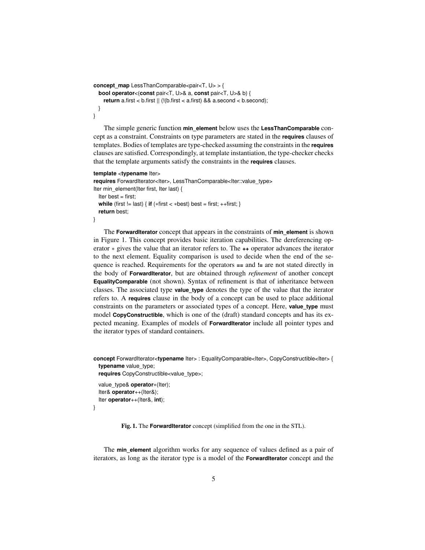```
concept_map LessThanComparable<pair<T, U> > {
  bool operator<(const pair<T, U>& a, const pair<T, U>& b) {
    return a.first < b.first || (!(b.first < a.first) && a.second < b.second);
  }
}
```
The simple generic function **min\_element** below uses the **LessThanComparable** concept as a constraint. Constraints on type parameters are stated in the **requires** clauses of templates. Bodies of templates are type-checked assuming the constraints in the **requires** clauses are satisfied. Correspondingly, at template instantiation, the type-checker checks that the template arguments satisfy the constraints in the **requires** clauses.

#### **template** <**typename** Iter>

```
requires ForwardIterator<Iter>, LessThanComparable<Iter::value_type>
Iter min_element(Iter first, Iter last) {
  Iter best = first;
  while (first != last) { if (*first < *best) best = first; ++first; }
  return best;
}
```
The **ForwardIterator** concept that appears in the constraints of **min\_element** is shown in Figure 1. This concept provides basic iteration capabilities. The dereferencing operator ∗ gives the value that an iterator refers to. The **++** operator advances the iterator to the next element. Equality comparison is used to decide when the end of the sequence is reached. Requirements for the operators **==** and **!=** are not stated directly in the body of **ForwardIterator**, but are obtained through *refinement* of another concept **EqualityComparable** (not shown). Syntax of refinement is that of inheritance between classes. The associated type **value\_type** denotes the type of the value that the iterator refers to. A **requires** clause in the body of a concept can be used to place additional constraints on the parameters or associated types of a concept. Here, **value\_type** must model **CopyConstructible**, which is one of the (draft) standard concepts and has its expected meaning. Examples of models of **ForwardIterator** include all pointer types and the iterator types of standard containers.

```
concept ForwardIterator<typename Iter> : EqualityComparable<Iter>, CopyConstructible<Iter> {
 typename value_type;
 requires CopyConstructible<value_type>;
```

```
value_type& operator∗(Iter);
Iter& operator++(Iter&);
Iter operator++(Iter&, int);
```

```
}
```
Fig. 1. The **ForwardIterator** concept (simplified from the one in the STL).

The **min\_element** algorithm works for any sequence of values defined as a pair of iterators, as long as the iterator type is a model of the **ForwardIterator** concept and the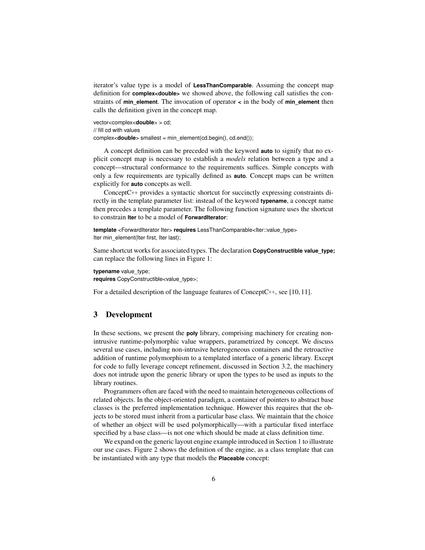iterator's value type is a model of **LessThanComparable**. Assuming the concept map definition for **complex<double>** we showed above, the following call satisfies the constraints of **min\_element**. The invocation of operator **<** in the body of **min\_element** then calls the definition given in the concept map.

```
vector<complex<double> > cd;
// fill cd with values
complex<double> smallest = min_element(cd.begin(), cd.end());
```
A concept definition can be preceded with the keyword **auto** to signify that no explicit concept map is necessary to establish a *models* relation between a type and a concept—structural conformance to the requirements suffices. Simple concepts with only a few requirements are typically defined as **auto**. Concept maps can be written explicitly for **auto** concepts as well.

ConceptC++ provides a syntactic shortcut for succinctly expressing constraints directly in the template parameter list: instead of the keyword **typename**, a concept name then precedes a template parameter. The following function signature uses the shortcut to constrain **Iter** to be a model of **ForwardIterator**:

**template** <ForwardIterator Iter> **requires** LessThanComparable<Iter::value\_type> Iter min\_element(Iter first, Iter last);

Same shortcut works for associated types. The declaration **CopyConstructible value\_type;** can replace the following lines in Figure 1:

```
typename value_type;
```
**requires** CopyConstructible<value\_type>;

For a detailed description of the language features of ConceptC++, see [10, 11].

## 3 Development

In these sections, we present the **poly** library, comprising machinery for creating nonintrusive runtime-polymorphic value wrappers, parametrized by concept. We discuss several use cases, including non-intrusive heterogeneous containers and the retroactive addition of runtime polymorphism to a templated interface of a generic library. Except for code to fully leverage concept refinement, discussed in Section 3.2, the machinery does not intrude upon the generic library or upon the types to be used as inputs to the library routines.

Programmers often are faced with the need to maintain heterogeneous collections of related objects. In the object-oriented paradigm, a container of pointers to abstract base classes is the preferred implementation technique. However this requires that the objects to be stored must inherit from a particular base class. We maintain that the choice of whether an object will be used polymorphically—with a particular fixed interface specified by a base class—is not one which should be made at class definition time.

We expand on the generic layout engine example introduced in Section 1 to illustrate our use cases. Figure 2 shows the definition of the engine, as a class template that can be instantiated with any type that models the **Placeable** concept: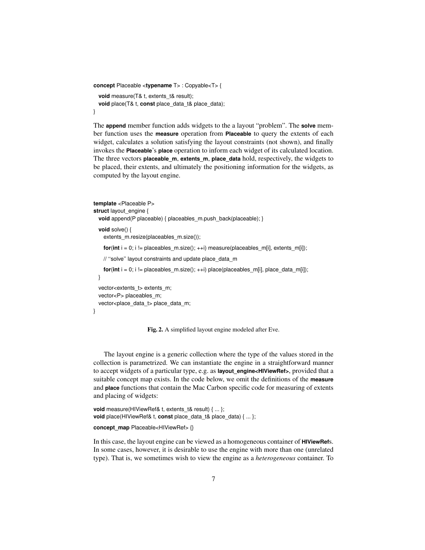```
concept Placeable <typename T> : Copyable<T> {
 void measure(T& t, extents_t& result);
 void place(T& t, const place_data_t& place_data);
}
```
The **append** member function adds widgets to the a layout "problem". The **solve** member function uses the **measure** operation from **Placeable** to query the extents of each widget, calculates a solution satisfying the layout constraints (not shown), and finally invokes the **Placeable**'s **place** operation to inform each widget of its calculated location. The three vectors **placeable\_m**, **extents\_m**, **place\_data** hold, respectively, the widgets to be placed, their extents, and ultimately the positioning information for the widgets, as computed by the layout engine.

```
template <Placeable P>
struct layout engine {
 void append(P placeable) { placeables_m.push_back(placeable); }
 void solve() {
   extents_m.resize(placeables_m.size());
   for(int i = 0; i != placeables_m.size(); ++i) measure(placeables_m[i], extents_m[i]);
   // ''solve'' layout constraints and update place_data_m
   for(int i = 0; i != placeables m.size(); ++i) place(placeables m[i], place data m[i]);
 }
 vector<extents_t> extents_m;
 vector<P> placeables_m;
 vector<place_data_t> place_data_m;
}
```
Fig. 2. A simplified layout engine modeled after Eve.

The layout engine is a generic collection where the type of the values stored in the collection is parametrized. We can instantiate the engine in a straightforward manner to accept widgets of a particular type, e.g. as **layout\_engine<HIViewRef>**, provided that a suitable concept map exists. In the code below, we omit the definitions of the **measure** and **place** functions that contain the Mac Carbon specific code for measuring of extents and placing of widgets:

```
void measure(HIViewRef& t, extents t& result) { ... };
void place(HIViewRef& t, const place_data_t& place_data) { ... };
concept_map Placeable<HIViewRef> {}
```
In this case, the layout engine can be viewed as a homogeneous container of **HIViewRef**s. In some cases, however, it is desirable to use the engine with more than one (unrelated type). That is, we sometimes wish to view the engine as a *heterogeneous* container. To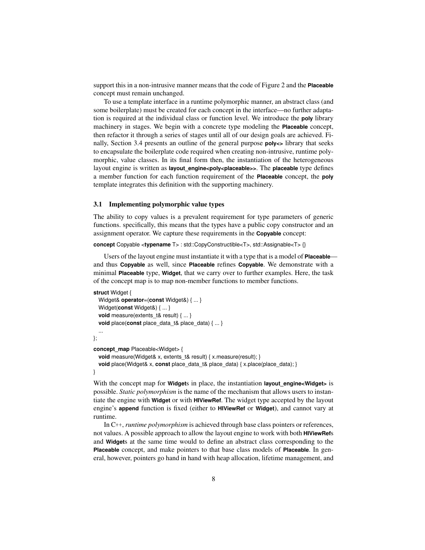support this in a non-intrusive manner means that the code of Figure 2 and the **Placeable** concept must remain unchanged.

To use a template interface in a runtime polymorphic manner, an abstract class (and some boilerplate) must be created for each concept in the interface—no further adaptation is required at the individual class or function level. We introduce the **poly** library machinery in stages. We begin with a concrete type modeling the **Placeable** concept, then refactor it through a series of stages until all of our design goals are achieved. Finally, Section 3.4 presents an outline of the general purpose **poly**  $\leq$  library that seeks to encapsulate the boilerplate code required when creating non-intrusive, runtime polymorphic, value classes. In its final form then, the instantiation of the heterogeneous layout engine is written as **layout\_engine<poly<placeable>>**. The **placeable** type defines a member function for each function requirement of the **Placeable** concept, the **poly** template integrates this definition with the supporting machinery.

## 3.1 Implementing polymorphic value types

The ability to copy values is a prevalent requirement for type parameters of generic functions. specifically, this means that the types have a public copy constructor and an assignment operator. We capture these requirements in the **Copyable** concept:

#### **concept** Copyable <**typename** T> : std::CopyConstructible<T>, std::Assignable<T> {}

Users of the layout engine must instantiate it with a type that is a model of **Placeable** and thus **Copyable** as well, since **Placeable** refines **Copyable**. We demonstrate with a minimal **Placeable** type, **Widget**, that we carry over to further examples. Here, the task of the concept map is to map non-member functions to member functions.

```
struct Widget {
  Widget& operator=(const Widget&) { ... }
  Widget(const Widget&) { ... }
  void measure(extents t& result) { ... }
  void place(const place_data_t& place_data) { ... }
  ...
};
concept_map Placeable<Widget> {
  void measure(Widget& x, extents_t& result) { x.measure(result); }
  void place(Widget& x, const place_data_t& place_data) { x.place(place_data); }
}
```
With the concept map for **Widget**s in place, the instantiation **layout** engine <**Widget**> is possible. *Static polymorphism* is the name of the mechanism that allows users to instantiate the engine with **Widget** or with **HIViewRef**. The widget type accepted by the layout engine's **append** function is fixed (either to **HIViewRef** or **Widget**), and cannot vary at runtime.

In C++, *runtime polymorphism* is achieved through base class pointers or references, not values. A possible approach to allow the layout engine to work with both **HIViewRef**s and **Widget**s at the same time would to define an abstract class corresponding to the **Placeable** concept, and make pointers to that base class models of **Placeable**. In general, however, pointers go hand in hand with heap allocation, lifetime management, and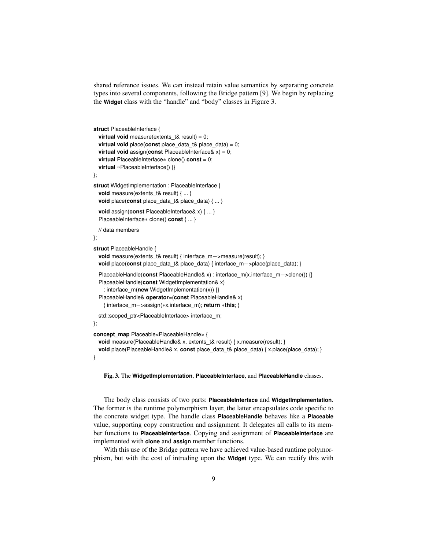shared reference issues. We can instead retain value semantics by separating concrete types into several components, following the Bridge pattern [9]. We begin by replacing the **Widget** class with the "handle" and "body" classes in Figure 3.

```
struct PlaceableInterface {
 virtual void measure(extents_t& result) = 0;
  virtual void place(const place_data_t& place_data) = 0;
  virtual void assign(const PlaceableInterface& x) = 0;
  virtual PlaceableInterface∗ clone() const = 0;
  virtual ~PlaceableInterface() {}
};
struct WidgetImplementation : PlaceableInterface {
  void measure(extents t& result) { ... }
 void place(const place_data_t& place_data) { ... }
  void assign(const PlaceableInterface& x) { ... }
  PlaceableInterface∗ clone() const { ... }
  // data members
};
struct PlaceableHandle {
  void measure(extents_t& result) { interface_m−>measure(result); }
  void place(const place_data_t& place_data) { interface_m−>place(place_data); }
  PlaceableHandle(const PlaceableHandle& x) : interface_m(x.interface_m−>clone()) {}
  PlaceableHandle(const WidgetImplementation& x)
    : interface_m(new WidgetImplementation(x)) {}
  PlaceableHandle& operator=(const PlaceableHandle& x)
    { interface_m−>assign(∗x.interface_m); return ∗this; }
  std::scoped_ptr<PlaceableInterface> interface_m;
};
concept_map Placeable<PlaceableHandle> {
  void measure(PlaceableHandle& x, extents_t& result) { x.measure(result); }
  void place(PlaceableHandle& x, const place_data_t& place_data) { x.place(place_data); }
}
```
Fig. 3. The **WidgetImplementation**, **PlaceableInterface**, and **PlaceableHandle** classes.

The body class consists of two parts: **PlaceableInterface** and **WidgetImplementation**. The former is the runtime polymorphism layer, the latter encapsulates code specific to the concrete widget type. The handle class **PlaceableHandle** behaves like a **Placeable** value, supporting copy construction and assignment. It delegates all calls to its member functions to **PlaceableInterface**. Copying and assignment of **PlaceableInterface** are implemented with **clone** and **assign** member functions.

With this use of the Bridge pattern we have achieved value-based runtime polymorphism, but with the cost of intruding upon the **Widget** type. We can rectify this with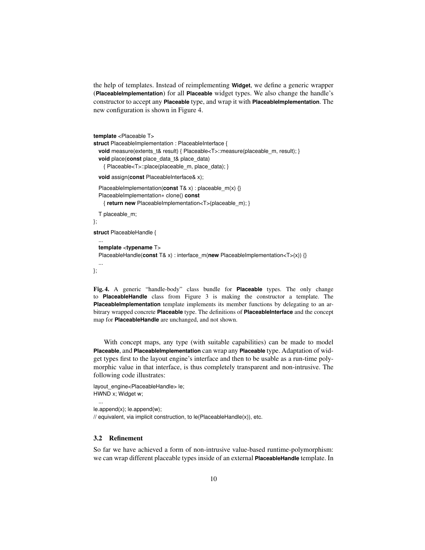the help of templates. Instead of reimplementing **Widget**, we define a generic wrapper (**PlaceableImplementation**) for all **Placeable** widget types. We also change the handle's constructor to accept any **Placeable** type, and wrap it with **PlaceableImplementation**. The new configuration is shown in Figure 4.

```
template <Placeable T>
struct PlaceableImplementation : PlaceableInterface {
  void measure(extents_t& result) { Placeable<T>::measure(placeable_m, result); }
  void place(const place_data_t& place_data)
    { Placeable<T>::place(placeable_m, place_data); }
  void assign(const PlaceableInterface& x);
  PlaceableImplementation(const T& x) : placeable m(x) {}
  PlaceableImplementation∗ clone() const
    { return new PlaceableImplementation<T>(placeable_m); }
  T placeable_m;
};
struct PlaceableHandle {
  ...
  template <typename T>
  PlaceableHandle(const T& x) : interface_m(new PlaceableImplementation<T>(x)) {}
  ...
};
```
Fig. 4. A generic "handle-body" class bundle for **Placeable** types. The only change to **PlaceableHandle** class from Figure 3 is making the constructor a template. The **PlaceableImplementation** template implements its member functions by delegating to an arbitrary wrapped concrete **Placeable** type. The definitions of **PlaceableInterface** and the concept map for **PlaceableHandle** are unchanged, and not shown.

With concept maps, any type (with suitable capabilities) can be made to model **Placeable**, and **PlaceableImplementation** can wrap any **Placeable** type. Adaptation of widget types first to the layout engine's interface and then to be usable as a run-time polymorphic value in that interface, is thus completely transparent and non-intrusive. The following code illustrates:

```
layout_engine<PlaceableHandle> le;
HWND x; Widget w;
```
le.append(x); le.append(w);

// equivalent, via implicit construction, to le(PlaceableHandle(x)), etc.

### 3.2 Refinement

...

So far we have achieved a form of non-intrusive value-based runtime-polymorphism: we can wrap different placeable types inside of an external **PlaceableHandle** template. In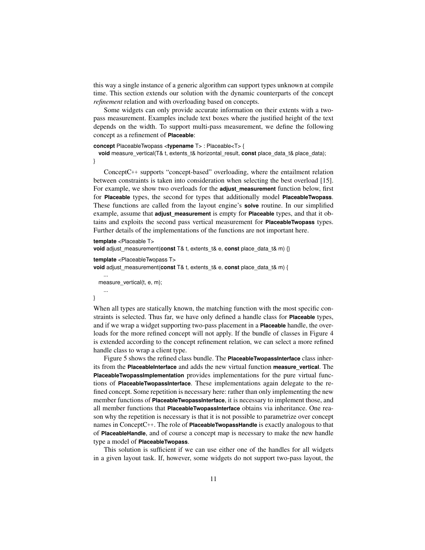this way a single instance of a generic algorithm can support types unknown at compile time. This section extends our solution with the dynamic counterparts of the concept *refinement* relation and with overloading based on concepts.

Some widgets can only provide accurate information on their extents with a twopass measurement. Examples include text boxes where the justified height of the text depends on the width. To support multi-pass measurement, we define the following concept as a refinement of **Placeable**:

### **concept** PlaceableTwopass <**typename** T> : Placeable<T> {

**void** measure\_vertical(T& t, extents\_t& horizontal\_result, **const** place\_data\_t& place\_data); }

ConceptC++ supports "concept-based" overloading, where the entailment relation between constraints is taken into consideration when selecting the best overload [15]. For example, we show two overloads for the **adjust\_measurement** function below, first for **Placeable** types, the second for types that additionally model **PlaceableTwopass**. These functions are called from the layout engine's **solve** routine. In our simplified example, assume that **adjust\_measurement** is empty for **Placeable** types, and that it obtains and exploits the second pass vertical measurement for **PlaceableTwopass** types. Further details of the implementations of the functions are not important here.

```
template <Placeable T>
void adjust_measurement(const T& t, extents_t& e, const place_data_t& m) {}
template <PlaceableTwopass T>
void adjust_measurement(const T& t, extents_t& e, const place_data_t& m) {
    ...
 measure_vertical(t, e, m);
    ...
```
}

When all types are statically known, the matching function with the most specific constraints is selected. Thus far, we have only defined a handle class for **Placeable** types, and if we wrap a widget supporting two-pass placement in a **Placeable** handle, the overloads for the more refined concept will not apply. If the bundle of classes in Figure 4 is extended according to the concept refinement relation, we can select a more refined handle class to wrap a client type.

Figure 5 shows the refined class bundle. The **PlaceableTwopassInterface** class inherits from the **PlaceableInterface** and adds the new virtual function **measure\_vertical**. The **PlaceableTwopassImplementation** provides implementations for the pure virtual functions of **PlaceableTwopassInterface**. These implementations again delegate to the refined concept. Some repetition is necessary here: rather than only implementing the new member functions of **PlaceableTwopassInterface**, it is necessary to implement those, and all member functions that **PlaceableTwopassInterface** obtains via inheritance. One reason why the repetition is necessary is that it is not possible to parametrize over concept names in ConceptC++. The role of **PlaceableTwopassHandle** is exactly analogous to that of **PlaceableHandle**, and of course a concept map is necessary to make the new handle type a model of **PlaceableTwopass**.

This solution is sufficient if we can use either one of the handles for all widgets in a given layout task. If, however, some widgets do not support two-pass layout, the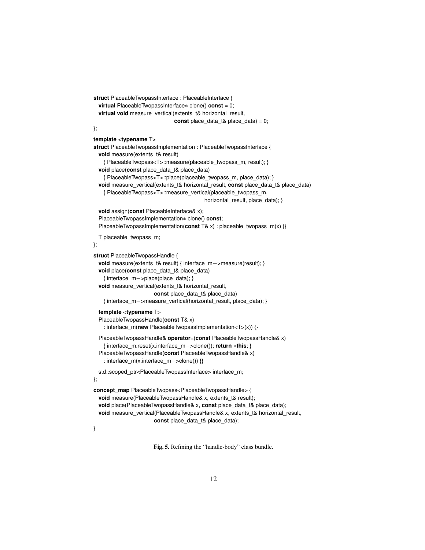```
struct PlaceableTwopassInterface : PlaceableInterface {
 virtual PlaceableTwopassInterface∗ clone() const = 0;
 virtual void measure_vertical(extents_t& horizontal_result,
                               const place data t& place data) = 0;
};
template <typename T>
struct PlaceableTwopassImplementation : PlaceableTwopassInterface {
 void measure(extents_t& result)
   { PlaceableTwopass<T>::measure(placeable_twopass_m, result); }
 void place(const place_data_t& place_data)
   { PlaceableTwopass<T>::place(placeable_twopass_m, place_data); }
 void measure vertical(extents t& horizontal result, const place data t& place data)
   { PlaceableTwopass<T>::measure_vertical(placeable_twopass_m,
                                          horizontal result, place data); }
 void assign(const PlaceableInterface& x);
 PlaceableTwopassImplementation∗ clone() const;
 PlaceableTwopassImplementation(const T& x) : placeable_twopass_m(x) {}
 T placeable_twopass_m;
};
struct PlaceableTwopassHandle {
 void measure(extents_t& result) { interface_m−>measure(result); }
 void place(const place_data_t& place_data)
   { interface_m−>place(place_data); }
 void measure_vertical(extents_t& horizontal_result,
                       const place data t& place data)
   { interface_m−>measure_vertical(horizontal_result, place_data); }
  template <typename T>
  PlaceableTwopassHandle(const T& x)
   : interface_m(new PlaceableTwopassImplementation<T>(x)) {}
  PlaceableTwopassHandle& operator=(const PlaceableTwopassHandle& x)
   { interface_m.reset(x.interface_m−>clone()); return ∗this; }
  PlaceableTwopassHandle(const PlaceableTwopassHandle& x)
   : interface_m(x.interface_m−>clone()) {}
 std::scoped_ptr<PlaceableTwopassInterface> interface_m;
};
concept_map PlaceableTwopass<PlaceableTwopassHandle> {
 void measure(PlaceableTwopassHandle& x, extents_t& result);
 void place(PlaceableTwopassHandle& x, const place_data_t& place_data);
 void measure_vertical(PlaceableTwopassHandle& x, extents_t& horizontal_result,
                       const place_data_t& place_data);
```
}

Fig. 5. Refining the "handle-body" class bundle.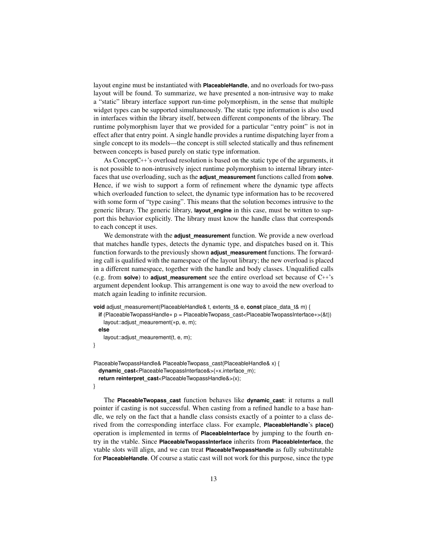layout engine must be instantiated with **PlaceableHandle**, and no overloads for two-pass layout will be found. To summarize, we have presented a non-intrusive way to make a "static" library interface support run-time polymorphism, in the sense that multiple widget types can be supported simultaneously. The static type information is also used in interfaces within the library itself, between different components of the library. The runtime polymorphism layer that we provided for a particular "entry point" is not in effect after that entry point. A single handle provides a runtime dispatching layer from a single concept to its models—the concept is still selected statically and thus refinement between concepts is based purely on static type information.

As ConceptC++'s overload resolution is based on the static type of the arguments, it is not possible to non-intrusively inject runtime polymorphism to internal library interfaces that use overloading, such as the **adjust\_measurement** functions called from **solve**. Hence, if we wish to support a form of refinement where the dynamic type affects which overloaded function to select, the dynamic type information has to be recovered with some form of "type casing". This means that the solution becomes intrusive to the generic library. The generic library, **layout\_engine** in this case, must be written to support this behavior explicitly. The library must know the handle class that corresponds to each concept it uses.

We demonstrate with the **adjust\_measurement** function. We provide a new overload that matches handle types, detects the dynamic type, and dispatches based on it. This function forwards to the previously shown **adjust\_measurement** functions. The forwarding call is qualified with the namespace of the layout library; the new overload is placed in a different namespace, together with the handle and body classes. Unqualified calls (e.g. from **solve**) to **adjust\_measurement** see the entire overload set because of C++'s argument dependent lookup. This arrangement is one way to avoid the new overload to match again leading to infinite recursion.

```
void adjust measurement(PlaceableHandle& t, extents t& e, const place data t& m) {
```

```
if (PlaceableTwopassHandle∗ p = PlaceableTwopass_cast<PlaceableTwopassInterface∗>(&t))
   layout::adjust_meaurement(∗p, e, m);
 else
   layout::adjust_meaurement(t, e, m);
}
```

```
PlaceableTwopassHandle& PlaceableTwopass_cast(PlaceableHandle& x) {
 dynamic_cast<PlaceableTwopassInterface&>(∗x.interface_m);
 return reinterpret_cast<PlaceableTwopassHandle&>(x);
```
}

The **PlaceableTwopass\_cast** function behaves like **dynamic\_cast**: it returns a null pointer if casting is not successful. When casting from a refined handle to a base handle, we rely on the fact that a handle class consists exactly of a pointer to a class derived from the corresponding interface class. For example, **PlaceableHandle**'s **place()** operation is implemented in terms of **PlaceableInterface** by jumping to the fourth entry in the vtable. Since **PlaceableTwopassInterface** inherits from **PlaceableInterface**, the vtable slots will align, and we can treat **PlaceableTwopassHandle** as fully substitutable for **PlaceableHandle**. Of course a static cast will not work for this purpose, since the type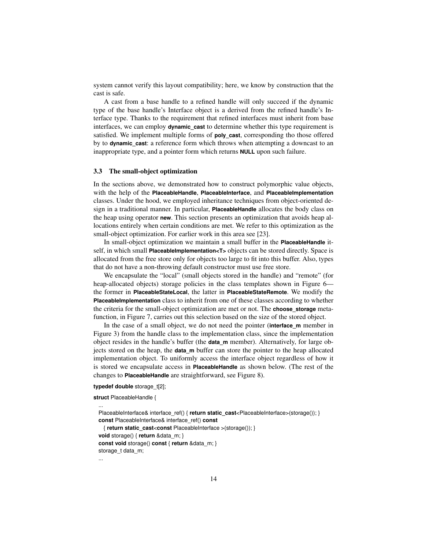system cannot verify this layout compatibility; here, we know by construction that the cast is safe.

A cast from a base handle to a refined handle will only succeed if the dynamic type of the base handle's Interface object is a derived from the refined handle's Interface type. Thanks to the requirement that refined interfaces must inherit from base interfaces, we can employ **dynamic\_cast** to determine whether this type requirement is satisfied. We implement multiple forms of **poly\_cast**, corresponding tho those offered by to **dynamic\_cast**: a reference form which throws when attempting a downcast to an inappropriate type, and a pointer form which returns **NULL** upon such failure.

# 3.3 The small-object optimization

In the sections above, we demonstrated how to construct polymorphic value objects, with the help of the **PlaceableHandle**, **PlaceableInterface**, and **PlaceableImplementation** classes. Under the hood, we employed inheritance techniques from object-oriented design in a traditional manner. In particular, **PlaceableHandle** allocates the body class on the heap using operator **new**. This section presents an optimization that avoids heap allocations entirely when certain conditions are met. We refer to this optimization as the small-object optimization. For earlier work in this area see [23].

In small-object optimization we maintain a small buffer in the **PlaceableHandle** itself, in which small **PlaceableImplementation<T>** objects can be stored directly. Space is allocated from the free store only for objects too large to fit into this buffer. Also, types that do not have a non-throwing default constructor must use free store.

We encapsulate the "local" (small objects stored in the handle) and "remote" (for heap-allocated objects) storage policies in the class templates shown in Figure 6 the former in **PlaceableStateLocal**, the latter in **PlaceableStateRemote**. We modify the **PlaceableImplementation** class to inherit from one of these classes according to whether the criteria for the small-object optimization are met or not. The **choose\_storage** metafunction, in Figure 7, carries out this selection based on the size of the stored object.

In the case of a small object, we do not need the pointer (**interface** m member in Figure 3) from the handle class to the implementation class, since the implementation object resides in the handle's buffer (the **data\_m** member). Alternatively, for large objects stored on the heap, the **data\_m** buffer can store the pointer to the heap allocated implementation object. To uniformly access the interface object regardless of how it is stored we encapsulate access in **PlaceableHandle** as shown below. (The rest of the changes to **PlaceableHandle** are straightforward, see Figure 8).

**typedef double** storage\_t[2];

```
struct PlaceableHandle {
```
...

PlaceableInterface& interface\_ref() { **return static\_cast**<PlaceableInterface>(storage()); } **const** PlaceableInterface& interface\_ref() **const** { **return static\_cast**<**const** PlaceableInterface >(storage()); } **void** storage() { **return** &data\_m; } **const void** storage() **const** { **return** &data\_m; } storage\_t data\_m; ...

14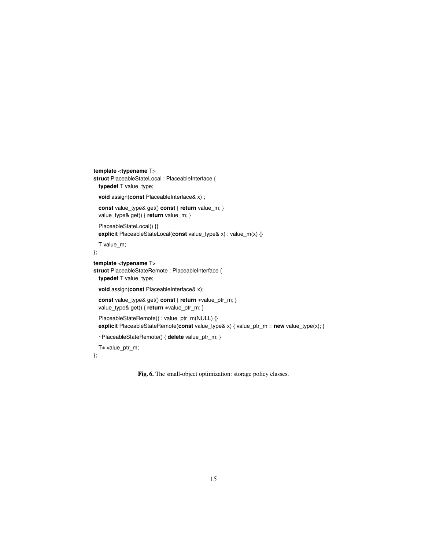```
template <typename T>
struct PlaceableStateLocal : PlaceableInterface {
 typedef T value_type;
  void assign(const PlaceableInterface& x) ;
  const value_type& get() const { return value_m; }
  value_type& get() { return value_m; }
 PlaceableStateLocal() {}
  explicit PlaceableStateLocal(const value_type& x) : value_m(x) {}
  T value_m;
};
template <typename T>
struct PlaceableStateRemote : PlaceableInterface {
  typedef T value_type;
  void assign(const PlaceableInterface& x);
  const value_type& get() const { return ∗value_ptr_m; }
 value_type& get() { return *value_ptr_m; }
  PlaceableStateRemote() : value_ptr_m(NULL) {}
  explicit PlaceableStateRemote(const value_type& x) { value_ptr_m = new value_type(x); }
  ~PlaceableStateRemote() { delete value_ptr_m; }
  T∗ value_ptr_m;
```

```
};
```
Fig. 6. The small-object optimization: storage policy classes.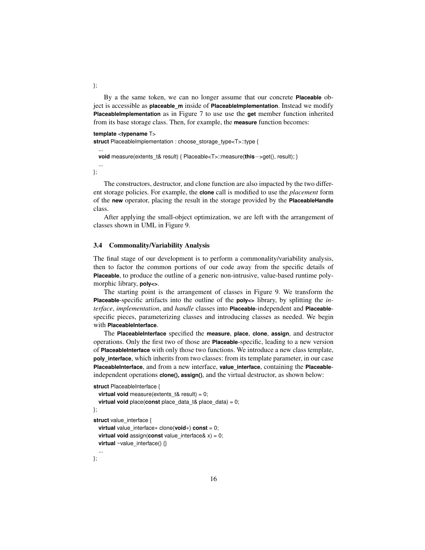By a the same token, we can no longer assume that our concrete **Placeable** object is accessible as **placeable\_m** inside of **PlaceableImplementation**. Instead we modify **PlaceableImplementation** as in Figure 7 to use use the **get** member function inherited from its base storage class. Then, for example, the **measure** function becomes:

#### **template** <**typename** T>

struct PlaceableImplementation : choose\_storage\_type<T>::type {

**void** measure(extents\_t& result) { Placeable<T>::measure(**this**−>get(), result); }

... };

...

The constructors, destructor, and clone function are also impacted by the two different storage policies. For example, the **clone** call is modified to use the *placement* form of the **new** operator, placing the result in the storage provided by the **PlaceableHandle** class.

After applying the small-object optimization, we are left with the arrangement of classes shown in UML in Figure 9.

#### 3.4 Commonality/Variability Analysis

The final stage of our development is to perform a commonality/variability analysis, then to factor the common portions of our code away from the specific details of **Placeable**, to produce the outline of a generic non-intrusive, value-based runtime polymorphic library, **poly<>**.

The starting point is the arrangement of classes in Figure 9. We transform the **Placeable**-specific artifacts into the outline of the **poly<>** library, by splitting the *interface*, *implementation*, and *handle* classes into **Placeable**-independent and **Placeable**specific pieces, parameterizing classes and introducing classes as needed. We begin with **PlaceableInterface**.

The **PlaceableInterface** specified the **measure**, **place**, **clone**, **assign**, and destructor operations. Only the first two of those are **Placeable**-specific, leading to a new version of **PlaceableInterface** with only those two functions. We introduce a new class template, **poly\_interface**, which inherits from two classes: from its template parameter, in our case **PlaceableInterface**, and from a new interface, **value\_interface**, containing the **Placeable**independent operations **clone(), assign()**, and the virtual destructor, as shown below:

```
struct PlaceableInterface {
```

```
virtual void measure(extents t& result) = 0;
  virtual void place(const place_data_t& place_data) = 0;
};
struct value interface {
 virtual value_interface∗ clone(void∗) const = 0;
  virtual void assign(const value_interface& x) = 0;
  virtual ~value_interface() {}
  ...
```
};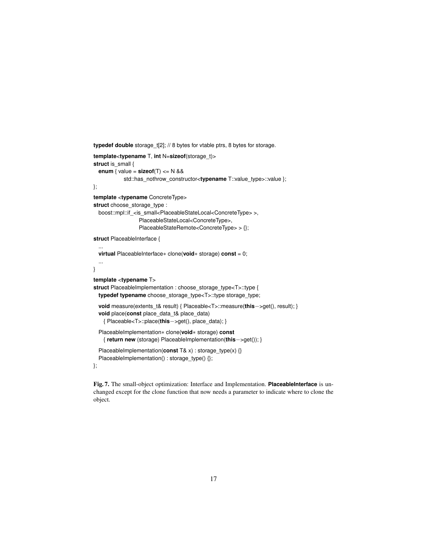```
typedef double storage_t[2]; // 8 bytes for vtable ptrs, 8 bytes for storage.
template<typename T, int N=sizeof(storage_t)>
struct is_small {
  enum { value = sizeof(T) \leq N &&
           std::has_nothrow_constructor<typename T::value_type>::value };
};
template <typename ConcreteType>
struct choose_storage_type :
  boost::mpl::if_<is_small<PlaceableStateLocal<ConcreteType> >,
                  PlaceableStateLocal<ConcreteType>,
                 PlaceableStateRemote<ConcreteType> > {};
struct PlaceableInterface {
  ...
  virtual PlaceableInterface∗ clone(void∗ storage) const = 0;
  ...
}
template <typename T>
struct PlaceableImplementation : choose_storage_type<T>::type {
  typedef typename choose_storage_type<T>::type storage_type;
  void measure(extents_t& result) { Placeable<T>::measure(this−>get(), result); }
  void place(const place_data_t& place_data)
    { Placeable<T>::place(this−>get(), place_data); }
  PlaceableImplementation∗ clone(void∗ storage) const
    { return new (storage) PlaceableImplementation(this−>get()); }
  PlaceableImplementation(const T& x) : storage_type(x) {}
  PlaceableImplementation() : storage_type() {};
};
```
Fig. 7. The small-object optimization: Interface and Implementation. **PlaceableInterface** is unchanged except for the clone function that now needs a parameter to indicate where to clone the object.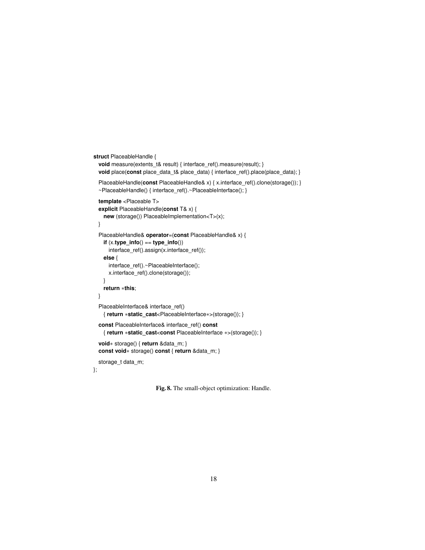```
struct PlaceableHandle {
 void measure(extents_t& result) { interface_ref().measure(result); }
 void place(const place_data_t& place_data) { interface_ref().place(place_data); }
 PlaceableHandle(const PlaceableHandle& x) { x.interface_ref().clone(storage()); }
 ~PlaceableHandle() { interface_ref().~PlaceableInterface(); }
 template <Placeable T>
 explicit PlaceableHandle(const T& x) {
   new (storage()) PlaceableImplementation<T>(x);
 }
 PlaceableHandle& operator=(const PlaceableHandle& x) {
   if (x.type_info() == type_info())
     interface_ref().assign(x.interface_ref());
   else {
     interface_ref().~PlaceableInterface();
     x.interface_ref().clone(storage());
   }
   return ∗this;
 }
 PlaceableInterface& interface_ref()
   { return ∗static_cast<PlaceableInterface∗>(storage()); }
 const PlaceableInterface& interface_ref() const
   { return ∗static_cast<const PlaceableInterface ∗>(storage()); }
 void∗ storage() { return &data_m; }
 const void∗ storage() const { return &data_m; }
 storage_t data_m;
```

```
};
```

```
Fig. 8. The small-object optimization: Handle.
```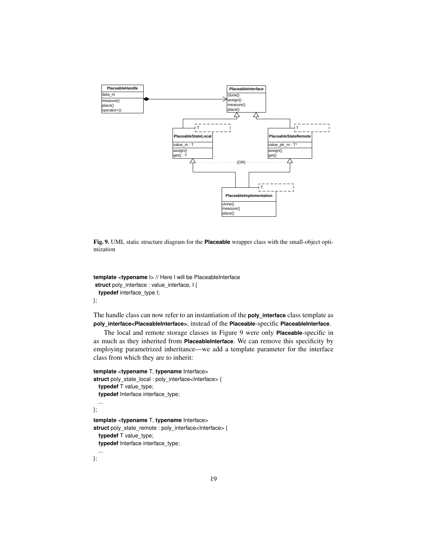

Fig. 9. UML static structure diagram for the **Placeable** wrapper class with the small-object optimization

```
template <typename I> // Here I will be PlaceableInterface
struct poly_interface : value_interface, I {
 typedef interface_type I;
};
```
The handle class can now refer to an instantiation of the **poly\_interface** class template as **poly\_interface<PlaceableInterface>**, instead of the **Placeable**-specific **PlaceableInterface**.

The local and remote storage classes in Figure 9 were only **Placeable**-specific in as much as they inherited from **PlaceableInterface**. We can remove this specificity by employing parametrized inheritance—we add a template parameter for the interface class from which they are to inherit:

```
template <typename T, typename Interface>
struct poly_state_local : poly_interface<Interface> {
  typedef T value_type;
  typedef Interface interface type;
  ...
};
template <typename T, typename Interface>
struct poly_state_remote : poly_interface<Interface> {
 typedef T value_type;
  typedef Interface interface_type;
```
};

...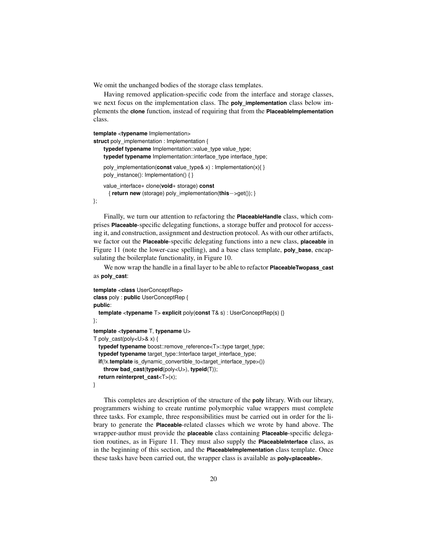We omit the unchanged bodies of the storage class templates.

Having removed application-specific code from the interface and storage classes, we next focus on the implementation class. The **poly\_implementation** class below implements the **clone** function, instead of requiring that from the **PlaceableImplementation** class.

```
template <typename Implementation>
```

```
struct poly implementation : Implementation {
   typedef typename Implementation::value_type value_type;
   typedef typename Implementation::interface_type interface_type;
   poly_implementation(const value_type& x) : Implementation(x){ }
   poly_instance(): Implementation() { }
   value_interface∗ clone(void∗ storage) const
     { return new (storage) poly_implementation(this−>get()); }
```
};

Finally, we turn our attention to refactoring the **PlaceableHandle** class, which comprises **Placeable**-specific delegating functions, a storage buffer and protocol for accessing it, and construction, assignment and destruction protocol. As with our other artifacts, we factor out the **Placeable**-specific delegating functions into a new class, **placeable** in Figure 11 (note the lower-case spelling), and a base class template, **poly\_base**, encapsulating the boilerplate functionality, in Figure 10.

We now wrap the handle in a final layer to be able to refactor **PlaceableTwopass\_cast** as **poly\_cast**:

```
template <class UserConceptRep>
class poly : public UserConceptRep {
public:
 template <typename T> explicit poly(const T& s) : UserConceptRep(s) {}
};
template <typename T, typename U>
T poly_cast(poly<U>& x) {
 typedef typename boost::remove_reference<T>::type target_type;
 typedef typename target_type::Interface target_interface_type;
 if(!x.template is_dynamic_convertible_to<target_interface_type>())
   throw bad_cast(typeid(poly<U>), typeid(T));
 return reinterpret_cast<T>(x);
}
```
This completes are description of the structure of the **poly** library. With our library, programmers wishing to create runtime polymorphic value wrappers must complete three tasks. For example, three responsibilities must be carried out in order for the library to generate the **Placeable**-related classes which we wrote by hand above. The wrapper-author must provide the **placeable** class containing **Placeable**-specific delegation routines, as in Figure 11. They must also supply the **PlaceableInterface** class, as in the beginning of this section, and the **PlaceableImplementation** class template. Once these tasks have been carried out, the wrapper class is available as **poly<placeable>**.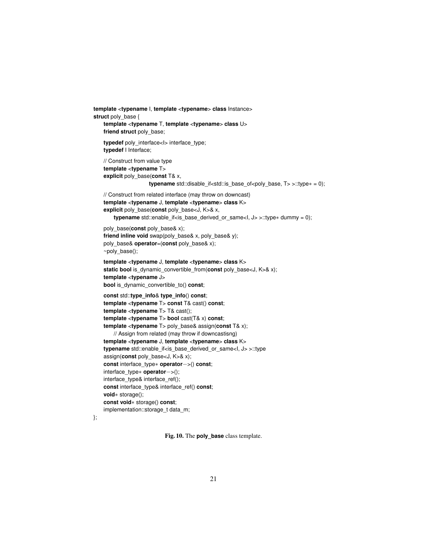```
template <typename I, template <typename> class Instance>
struct poly_base {
   template <typename T, template <typename> class U>
   friend struct poly_base;
   typedef poly_interface<I> interface_type;
   typedef I Interface;
   // Construct from value type
   template <typename T>
   explicit poly_base(const T& x,
                    typename std::disable_if<std::is_base_of<poly_base, T> >::type∗ = 0);
   // Construct from related interface (may throw on downcast)
   template <typename J, template <typename> class K>
   explicit poly_base(const poly_base<J, K>& x,
       typename std::enable_if<is_base_derived_or_same<I, J> >::type∗ dummy = 0);
   poly_base(const poly_base& x);
   friend inline void swap(poly_base& x, poly_base& y);
   poly_base& operator=(const poly_base& x);
   ~poly_base();
   template <typename J, template <typename> class K>
   static bool is dynamic convertible from(const poly base<J, K>& x);
   template <typename J>
   bool is_dynamic_convertible_to() const;
   const std::type_info& type_info() const;
   template <typename T> const T& cast() const;
   template <typename T> T& cast();
   template <typename T> bool cast(T& x) const;
   template <typename T> poly_base& assign(const T& x);
       // Assign from related (may throw if downcastisng)
   template <typename J, template <typename> class K>
   typename std::enable_if<is_base_derived_or_same<I, J> >::type
   assign(const poly_base<J, K>& x);
   const interface_type∗ operator−>() const;
   interface_type∗ operator−>();
   interface_type& interface_ref();
   const interface_type& interface_ref() const;
   void∗ storage();
   const void∗ storage() const;
   implementation::storage_t data_m;
```
};

Fig. 10. The **poly\_base** class template.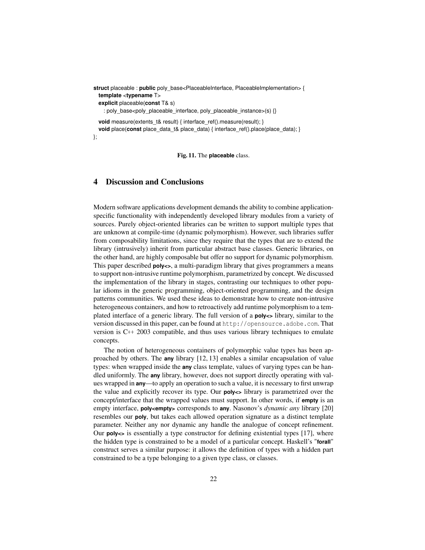**struct** placeable : **public** poly\_base<PlaceableInterface, PlaceableImplementation> { **template** <**typename** T>

**explicit** placeable(**const** T& s)

: poly\_base<poly\_placeable\_interface, poly\_placeable\_instance>(s) {}

**void** measure(extents\_t& result) { interface\_ref().measure(result); }

**void** place(**const** place\_data\_t& place\_data) { interface\_ref().place(place\_data); }

};

Fig. 11. The **placeable** class.

## 4 Discussion and Conclusions

Modern software applications development demands the ability to combine applicationspecific functionality with independently developed library modules from a variety of sources. Purely object-oriented libraries can be written to support multiple types that are unknown at compile-time (dynamic polymorphism). However, such libraries suffer from composability limitations, since they require that the types that are to extend the library (intrusively) inherit from particular abstract base classes. Generic libraries, on the other hand, are highly composable but offer no support for dynamic polymorphism. This paper described **poly<>**, a multi-paradigm library that gives programmers a means to support non-intrusive runtime polymorphism, parametrized by concept. We discussed the implementation of the library in stages, contrasting our techniques to other popular idioms in the generic programming, object-oriented programming, and the design patterns communities. We used these ideas to demonstrate how to create non-intrusive heterogeneous containers, and how to retroactively add runtime polymorphism to a templated interface of a generic library. The full version of a **poly<>** library, similar to the version discussed in this paper, can be found at http://opensource.adobe.com. That version is C++ 2003 compatible, and thus uses various library techniques to emulate concepts.

The notion of heterogeneous containers of polymorphic value types has been approached by others. The **any** library [12, 13] enables a similar encapsulation of value types: when wrapped inside the **any** class template, values of varying types can be handled uniformly. The **any** library, however, does not support directly operating with values wrapped in **any**—to apply an operation to such a value, it is necessary to first unwrap the value and explicitly recover its type. Our **poly<>** library is parametrized over the concept/interface that the wrapped values must support. In other words, if **empty** is an empty interface, **poly<empty>** corresponds to **any**. Nasonov's *dynamic any* library [20] resembles our **poly**, but takes each allowed operation signature as a distinct template parameter. Neither any nor dynamic any handle the analogue of concept refinement. Our **poly<>** is essentially a type constructor for defining existential types [17], where the hidden type is constrained to be a model of a particular concept. Haskell's "**forall**" construct serves a similar purpose: it allows the definition of types with a hidden part constrained to be a type belonging to a given type class, or classes.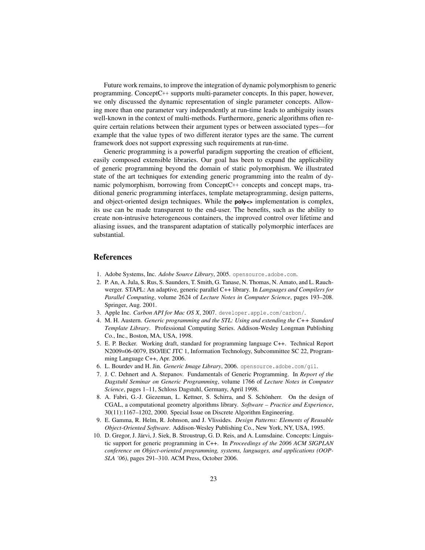Future work remains, to improve the integration of dynamic polymorphism to generic programming. ConceptC++ supports multi-parameter concepts. In this paper, however, we only discussed the dynamic representation of single parameter concepts. Allowing more than one parameter vary independently at run-time leads to ambiguity issues well-known in the context of multi-methods. Furthermore, generic algorithms often require certain relations between their argument types or between associated types—for example that the value types of two different iterator types are the same. The current framework does not support expressing such requirements at run-time.

Generic programming is a powerful paradigm supporting the creation of efficient, easily composed extensible libraries. Our goal has been to expand the applicability of generic programming beyond the domain of static polymorphism. We illustrated state of the art techniques for extending generic programming into the realm of dynamic polymorphism, borrowing from ConceptC++ concepts and concept maps, traditional generic programming interfaces, template metaprogramming, design patterns, and object-oriented design techniques. While the **poly<>** implementation is complex, its use can be made transparent to the end-user. The benefits, such as the ability to create non-intrusive heterogeneous containers, the improved control over lifetime and aliasing issues, and the transparent adaptation of statically polymorphic interfaces are substantial.

## References

- 1. Adobe Systems, Inc. *Adobe Source Library*, 2005. opensource.adobe.com.
- 2. P. An, A. Jula, S. Rus, S. Saunders, T. Smith, G. Tanase, N. Thomas, N. Amato, and L. Rauchwerger. STAPL: An adaptive, generic parallel C++ library. In *Languages and Compilers for Parallel Computing*, volume 2624 of *Lecture Notes in Computer Science*, pages 193–208. Springer, Aug. 2001.
- 3. Apple Inc. *Carbon API for Mac OS X*, 2007. developer.apple.com/carbon/.
- 4. M. H. Austern. *Generic programming and the STL: Using and extending the C++ Standard Template Library*. Professional Computing Series. Addison-Wesley Longman Publishing Co., Inc., Boston, MA, USA, 1998.
- 5. E. P. Becker. Working draft, standard for programming language C++. Technical Report N2009=06-0079, ISO/IEC JTC 1, Information Technology, Subcommittee SC 22, Programming Language C++, Apr. 2006.
- 6. L. Bourdev and H. Jin. *Generic Image Library*, 2006. opensource.adobe.com/gil.
- 7. J. C. Dehnert and A. Stepanov. Fundamentals of Generic Programming. In *Report of the Dagstuhl Seminar on Generic Programming*, volume 1766 of *Lecture Notes in Computer Science*, pages 1–11, Schloss Dagstuhl, Germany, April 1998.
- 8. A. Fabri, G.-J. Giezeman, L. Kettner, S. Schirra, and S. Schönherr. On the design of CGAL, a computational geometry algorithms library. *Software – Practice and Experience*, 30(11):1167–1202, 2000. Special Issue on Discrete Algorithm Engineering.
- 9. E. Gamma, R. Helm, R. Johnson, and J. Vlissides. *Design Patterns: Elements of Reusable Object-Oriented Software*. Addison-Wesley Publishing Co., New York, NY, USA, 1995.
- 10. D. Gregor, J. Järvi, J. Siek, B. Stroustrup, G. D. Reis, and A. Lumsdaine. Concepts: Linguistic support for generic programming in C++. In *Proceedings of the 2006 ACM SIGPLAN conference on Object-oriented programming, systems, languages, and applications (OOP-SLA '06)*, pages 291–310. ACM Press, October 2006.